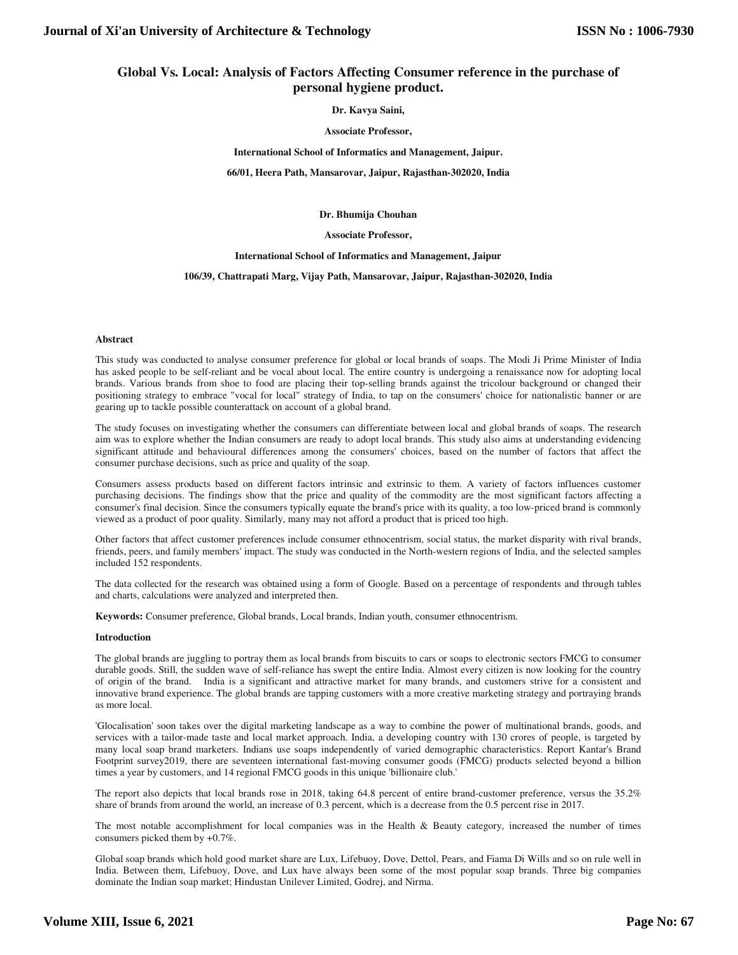# **Global Vs. Local: Analysis of Factors Affecting Consumer reference in the purchase of personal hygiene product.**

**Dr. Kavya Saini,** 

**Associate Professor,** 

**International School of Informatics and Management, Jaipur.** 

**66/01, Heera Path, Mansarovar, Jaipur, Rajasthan-302020, India** 

**Dr. Bhumija Chouhan** 

## **Associate Professor,**

**International School of Informatics and Management, Jaipur** 

**106/39, Chattrapati Marg, Vijay Path, Mansarovar, Jaipur, Rajasthan-302020, India** 

#### **Abstract**

This study was conducted to analyse consumer preference for global or local brands of soaps. The Modi Ji Prime Minister of India has asked people to be self-reliant and be vocal about local. The entire country is undergoing a renaissance now for adopting local brands. Various brands from shoe to food are placing their top-selling brands against the tricolour background or changed their positioning strategy to embrace "vocal for local" strategy of India, to tap on the consumers' choice for nationalistic banner or are gearing up to tackle possible counterattack on account of a global brand.

The study focuses on investigating whether the consumers can differentiate between local and global brands of soaps. The research aim was to explore whether the Indian consumers are ready to adopt local brands. This study also aims at understanding evidencing significant attitude and behavioural differences among the consumers' choices, based on the number of factors that affect the consumer purchase decisions, such as price and quality of the soap.

Consumers assess products based on different factors intrinsic and extrinsic to them. A variety of factors influences customer purchasing decisions. The findings show that the price and quality of the commodity are the most significant factors affecting a consumer's final decision. Since the consumers typically equate the brand's price with its quality, a too low-priced brand is commonly viewed as a product of poor quality. Similarly, many may not afford a product that is priced too high.

Other factors that affect customer preferences include consumer ethnocentrism, social status, the market disparity with rival brands, friends, peers, and family members' impact. The study was conducted in the North-western regions of India, and the selected samples included 152 respondents.

The data collected for the research was obtained using a form of Google. Based on a percentage of respondents and through tables and charts, calculations were analyzed and interpreted then.

**Keywords:** Consumer preference, Global brands, Local brands, Indian youth, consumer ethnocentrism.

## **Introduction**

The global brands are juggling to portray them as local brands from biscuits to cars or soaps to electronic sectors FMCG to consumer durable goods. Still, the sudden wave of self-reliance has swept the entire India. Almost every citizen is now looking for the country of origin of the brand. India is a significant and attractive market for many brands, and customers strive for a consistent and innovative brand experience. The global brands are tapping customers with a more creative marketing strategy and portraying brands as more local.

'Glocalisation' soon takes over the digital marketing landscape as a way to combine the power of multinational brands, goods, and services with a tailor-made taste and local market approach. India, a developing country with 130 crores of people, is targeted by many local soap brand marketers. Indians use soaps independently of varied demographic characteristics. Report Kantar's Brand Footprint survey2019, there are seventeen international fast-moving consumer goods (FMCG) products selected beyond a billion times a year by customers, and 14 regional FMCG goods in this unique 'billionaire club.'

The report also depicts that local brands rose in 2018, taking 64.8 percent of entire brand-customer preference, versus the 35.2% share of brands from around the world, an increase of 0.3 percent, which is a decrease from the 0.5 percent rise in 2017.

The most notable accomplishment for local companies was in the Health & Beauty category, increased the number of times consumers picked them by +0.7%.

Global soap brands which hold good market share are Lux, Lifebuoy, Dove, Dettol, Pears, and Fiama Di Wills and so on rule well in India. Between them, Lifebuoy, Dove, and Lux have always been some of the most popular soap brands. Three big companies dominate the Indian soap market; Hindustan Unilever Limited, Godrej, and Nirma.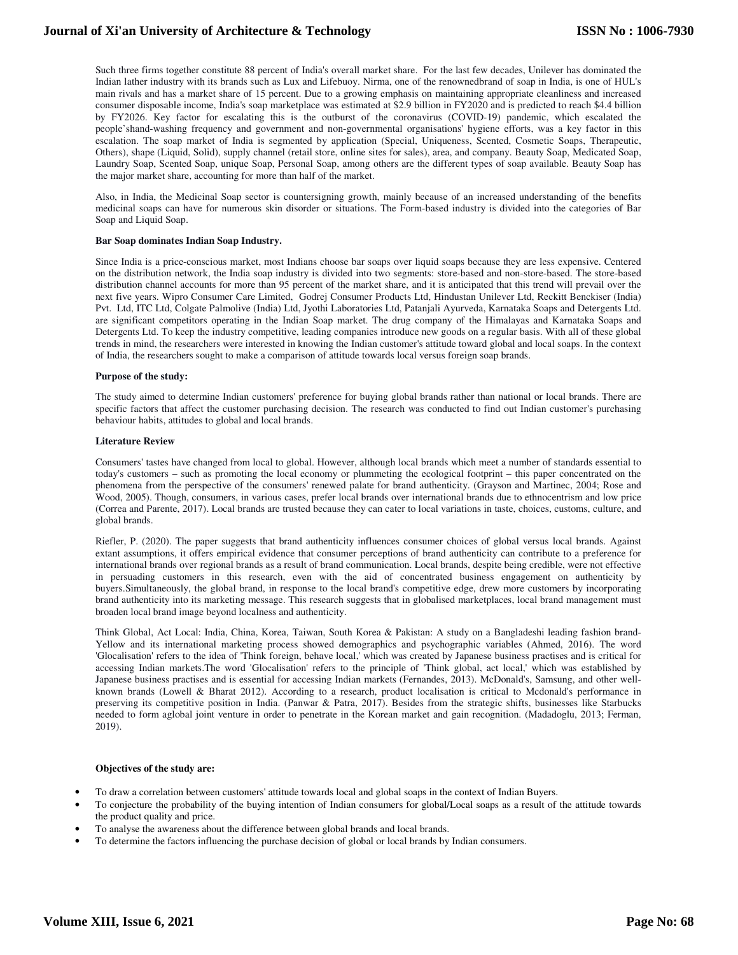# **Journal of Xi'an University of Architecture & Technology**

Such three firms together constitute 88 percent of India's overall market share. For the last few decades, Unilever has dominated the Indian lather industry with its brands such as Lux and Lifebuoy. Nirma, one of the renownedbrand of soap in India, is one of HUL's main rivals and has a market share of 15 percent. Due to a growing emphasis on maintaining appropriate cleanliness and increased consumer disposable income, India's soap marketplace was estimated at \$2.9 billion in FY2020 and is predicted to reach \$4.4 billion by FY2026. Key factor for escalating this is the outburst of the coronavirus (COVID-19) pandemic, which escalated the people'shand-washing frequency and government and non-governmental organisations' hygiene efforts, was a key factor in this escalation. The soap market of India is segmented by application (Special, Uniqueness, Scented, Cosmetic Soaps, Therapeutic, Others), shape (Liquid, Solid), supply channel (retail store, online sites for sales), area, and company. Beauty Soap, Medicated Soap, Laundry Soap, Scented Soap, unique Soap, Personal Soap, among others are the different types of soap available. Beauty Soap has the major market share, accounting for more than half of the market.

Also, in India, the Medicinal Soap sector is countersigning growth, mainly because of an increased understanding of the benefits medicinal soaps can have for numerous skin disorder or situations. The Form-based industry is divided into the categories of Bar Soap and Liquid Soap.

### **Bar Soap dominates Indian Soap Industry.**

Since India is a price-conscious market, most Indians choose bar soaps over liquid soaps because they are less expensive. Centered on the distribution network, the India soap industry is divided into two segments: store-based and non-store-based. The store-based distribution channel accounts for more than 95 percent of the market share, and it is anticipated that this trend will prevail over the next five years. Wipro Consumer Care Limited, Godrej Consumer Products Ltd, Hindustan Unilever Ltd, Reckitt Benckiser (India) Pvt. Ltd, ITC Ltd, Colgate Palmolive (India) Ltd, Jyothi Laboratories Ltd, Patanjali Ayurveda, Karnataka Soaps and Detergents Ltd. are significant competitors operating in the Indian Soap market. The drug company of the Himalayas and Karnataka Soaps and Detergents Ltd. To keep the industry competitive, leading companies introduce new goods on a regular basis. With all of these global trends in mind, the researchers were interested in knowing the Indian customer's attitude toward global and local soaps. In the context of India, the researchers sought to make a comparison of attitude towards local versus foreign soap brands.

### **Purpose of the study:**

The study aimed to determine Indian customers' preference for buying global brands rather than national or local brands. There are specific factors that affect the customer purchasing decision. The research was conducted to find out Indian customer's purchasing behaviour habits, attitudes to global and local brands.

## **Literature Review**

Consumers' tastes have changed from local to global. However, although local brands which meet a number of standards essential to today's customers – such as promoting the local economy or plummeting the ecological footprint – this paper concentrated on the phenomena from the perspective of the consumers' renewed palate for brand authenticity. (Grayson and Martinec, 2004; Rose and Wood, 2005). Though, consumers, in various cases, prefer local brands over international brands due to ethnocentrism and low price (Correa and Parente, 2017). Local brands are trusted because they can cater to local variations in taste, choices, customs, culture, and global brands.

Riefler, P. (2020). The paper suggests that brand authenticity influences consumer choices of global versus local brands. Against extant assumptions, it offers empirical evidence that consumer perceptions of brand authenticity can contribute to a preference for international brands over regional brands as a result of brand communication. Local brands, despite being credible, were not effective in persuading customers in this research, even with the aid of concentrated business engagement on authenticity by buyers.Simultaneously, the global brand, in response to the local brand's competitive edge, drew more customers by incorporating brand authenticity into its marketing message. This research suggests that in globalised marketplaces, local brand management must broaden local brand image beyond localness and authenticity.

Think Global, Act Local: India, China, Korea, Taiwan, South Korea & Pakistan: A study on a Bangladeshi leading fashion brand-Yellow and its international marketing process showed demographics and psychographic variables (Ahmed, 2016). The word 'Glocalisation' refers to the idea of 'Think foreign, behave local,' which was created by Japanese business practises and is critical for accessing Indian markets.The word 'Glocalisation' refers to the principle of 'Think global, act local,' which was established by Japanese business practises and is essential for accessing Indian markets (Fernandes, 2013). McDonald's, Samsung, and other wellknown brands (Lowell & Bharat 2012). According to a research, product localisation is critical to Mcdonald's performance in preserving its competitive position in India. (Panwar & Patra, 2017). Besides from the strategic shifts, businesses like Starbucks needed to form aglobal joint venture in order to penetrate in the Korean market and gain recognition. (Madadoglu, 2013; Ferman, 2019).

## **Objectives of the study are:**

- To draw a correlation between customers' attitude towards local and global soaps in the context of Indian Buyers.
- To conjecture the probability of the buying intention of Indian consumers for global/Local soaps as a result of the attitude towards the product quality and price.
- To analyse the awareness about the difference between global brands and local brands.
- To determine the factors influencing the purchase decision of global or local brands by Indian consumers.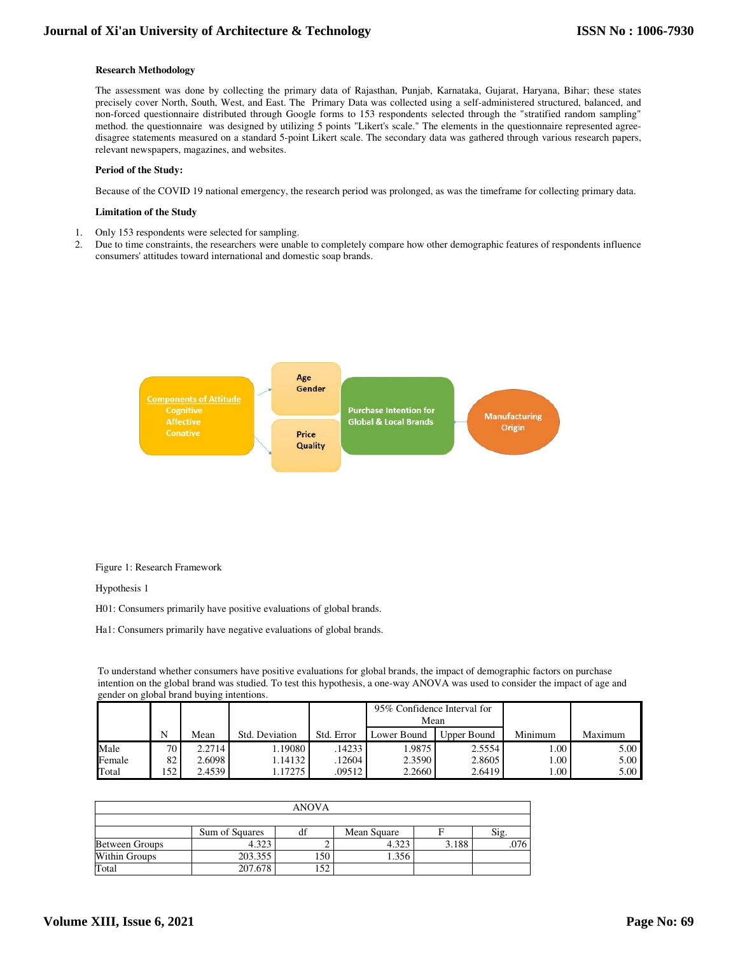# **Research Methodology**

The assessment was done by collecting the primary data of Rajasthan, Punjab, Karnataka, Gujarat, Haryana, Bihar; these states precisely cover North, South, West, and East. The Primary Data was collected using a self-administered structured, balanced, and non-forced questionnaire distributed through Google forms to 153 respondents selected through the "stratified random sampling" method. the questionnaire was designed by utilizing 5 points "Likert's scale." The elements in the questionnaire represented agreedisagree statements measured on a standard 5-point Likert scale. The secondary data was gathered through various research papers, relevant newspapers, magazines, and websites.

## **Period of the Study:**

Because of the COVID 19 national emergency, the research period was prolonged, as was the timeframe for collecting primary data.

#### **Limitation of the Study**

- 1. Only 153 respondents were selected for sampling.
- 2. Due to time constraints, the researchers were unable to completely compare how other demographic features of respondents influence consumers' attitudes toward international and domestic soap brands.



## Figure 1: Research Framework

Hypothesis 1

H01: Consumers primarily have positive evaluations of global brands.

Ha1: Consumers primarily have negative evaluations of global brands.

To understand whether consumers have positive evaluations for global brands, the impact of demographic factors on purchase intention on the global brand was studied. To test this hypothesis, a one-way ANOVA was used to consider the impact of age and gender on global brand buying intentions.

|        |                 |            |                |            | 95% Confidence Interval for<br>Mean |             |                   |         |
|--------|-----------------|------------|----------------|------------|-------------------------------------|-------------|-------------------|---------|
|        | N               | Mean       | Std. Deviation | Std. Error | Lower Bound                         | Upper Bound | Minimum           | Maximum |
| Male   | 70 <sub>1</sub> | 2.2714     | .19080         | 14233      | .9875                               | 2.5554      | $1.00 -$          | 5.00    |
| Female | 82              | $2.6098$ i | 1.14132        | 12604      | 2.3590                              | 2.8605      | 1.00              | 5.00    |
| Total  | 152             | 2.4539     | .17275         | .09512 l   | 2.2660                              | 2.6419      | 1.00 <sub>1</sub> | 5.00    |

| <b>ANOVA</b>          |                |    |             |       |      |  |
|-----------------------|----------------|----|-------------|-------|------|--|
|                       |                |    |             |       |      |  |
|                       | Sum of Squares | df | Mean Square |       | -215 |  |
| <b>Between Groups</b> | 4.323          |    | 4.323       | 3.188 | .076 |  |
| Within Groups         | 203.355        |    | .356        |       |      |  |
| Total                 | 207.678        |    |             |       |      |  |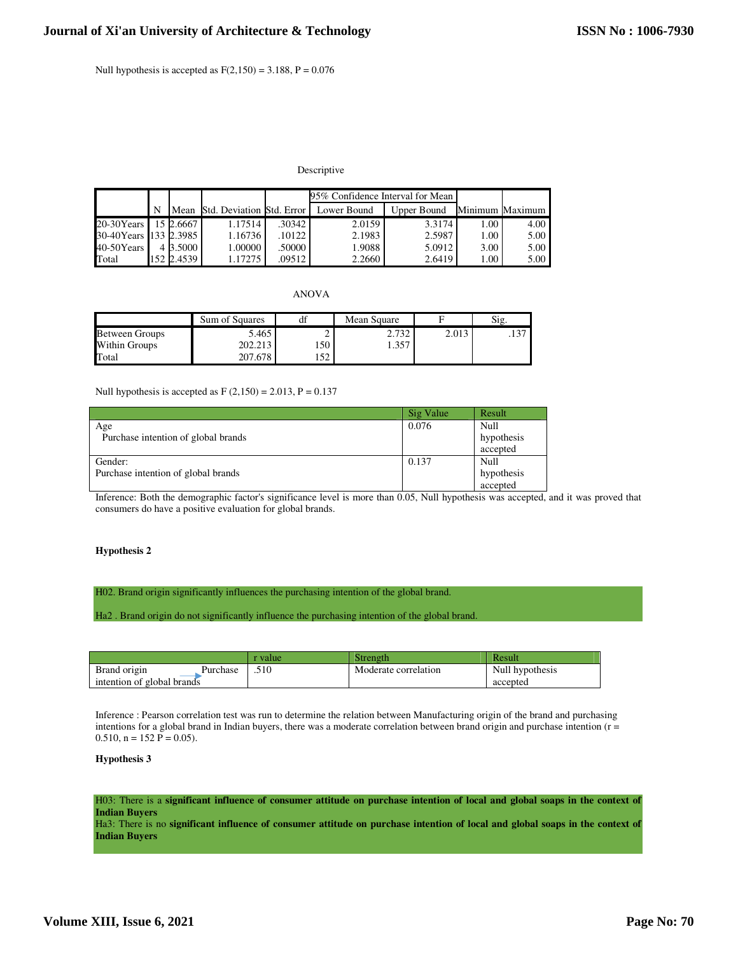Null hypothesis is accepted as  $F(2,150) = 3.188$ ,  $P = 0.076$ 

# Descriptive

|                       |            |         |            | 95% Confidence Interval for Mean           |             |      |                 |
|-----------------------|------------|---------|------------|--------------------------------------------|-------------|------|-----------------|
|                       |            |         |            | Mean Std. Deviation Std. Error Lower Bound | Upper Bound |      | Minimum Maximum |
| 20-30Years 15 2.6667  |            | 1.17514 | $.30342$ J | 2.0159                                     | 3.3174      | 1.00 | 4.00            |
| 30-40Years 133 2.3985 |            | 1.16736 | .10122     | 2.1983                                     | 2.5987      | 1.00 | 5.00            |
| $40-50$ Years         | 4 3.5000   | 1.00000 | .50000     | 1.9088                                     | 5.0912      | 3.00 | 5.00            |
| Total                 | 152 2.4539 | 1.17275 | .09512     | 2.2660                                     | 2.6419      | 1.00 | 5.00            |

ANOVA

|                       | Sum of Squares | df         | Mean Square |       | Si <sub>g</sub> |
|-----------------------|----------------|------------|-------------|-------|-----------------|
| <b>Between Groups</b> | 5.465          |            | 2.732       | 2.013 | .               |
| Within Groups         | 202.213        | 50ء        | .357        |       |                 |
| Total                 | 207.678        | $\epsilon$ |             |       |                 |

Null hypothesis is accepted as  $F(2,150) = 2.013$ ,  $P = 0.137$ 

|                                     | Sig Value | Result     |
|-------------------------------------|-----------|------------|
| Age                                 | 0.076     | Null       |
| Purchase intention of global brands |           | hypothesis |
|                                     |           | accepted   |
| Gender:                             | 0.137     | Null       |
| Purchase intention of global brands |           | hypothesis |
|                                     |           | accepted   |

Inference: Both the demographic factor's significance level is more than 0.05, Null hypothesis was accepted, and it was proved that consumers do have a positive evaluation for global brands.

# **Hypothesis 2**

H02. Brand origin significantly influences the purchasing intention of the global brand.

Ha2 . Brand origin do not significantly influence the purchasing intention of the global brand.

|                            | value | Strength             | Result          |
|----------------------------|-------|----------------------|-----------------|
| Brand origin<br>Purchase   | .510  | Moderate correlation | Null hypothesis |
| intention of global brands |       |                      | accepted        |

Inference : Pearson correlation test was run to determine the relation between Manufacturing origin of the brand and purchasing intentions for a global brand in Indian buyers, there was a moderate correlation between brand origin and purchase intention (r =  $0.510$ ,  $n = 152$  P = 0.05).

# **Hypothesis 3**

H03: There is a **significant influence of consumer attitude on purchase intention of local and global soaps in the context of Indian Buyers**

Ha3: There is no **significant influence of consumer attitude on purchase intention of local and global soaps in the context of Indian Buyers**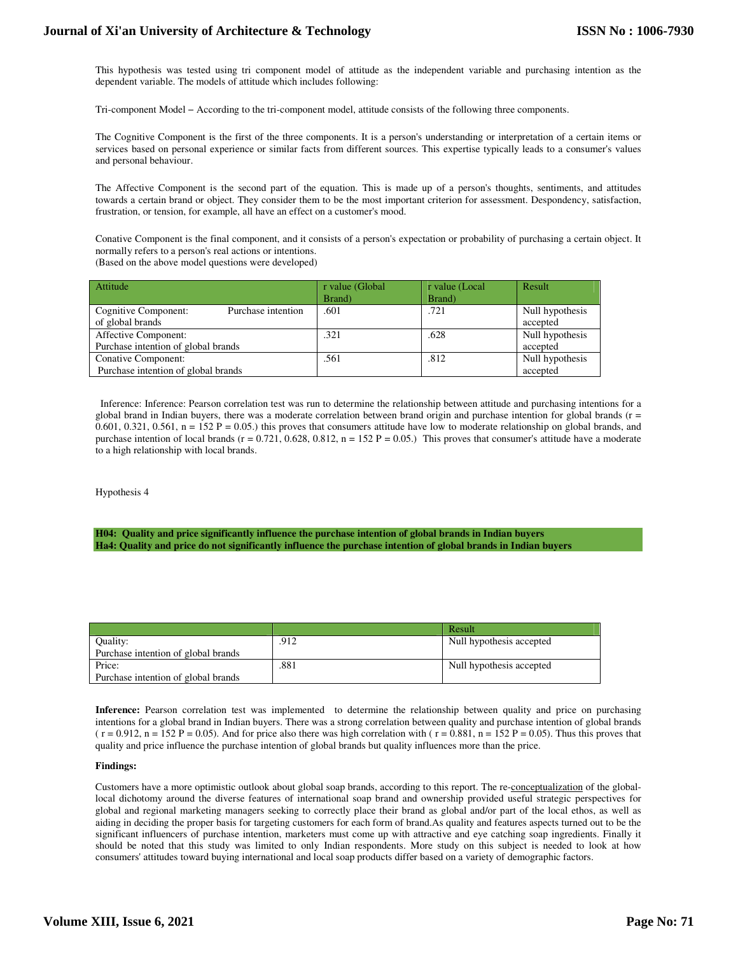# **Journal of Xi'an University of Architecture & Technology**

This hypothesis was tested using tri component model of attitude as the independent variable and purchasing intention as the dependent variable. The models of attitude which includes following:

Tri-component Model − According to the tri-component model, attitude consists of the following three components.

The Cognitive Component is the first of the three components. It is a person's understanding or interpretation of a certain items or services based on personal experience or similar facts from different sources. This expertise typically leads to a consumer's values and personal behaviour.

The Affective Component is the second part of the equation. This is made up of a person's thoughts, sentiments, and attitudes towards a certain brand or object. They consider them to be the most important criterion for assessment. Despondency, satisfaction, frustration, or tension, for example, all have an effect on a customer's mood.

Conative Component is the final component, and it consists of a person's expectation or probability of purchasing a certain object. It normally refers to a person's real actions or intentions. (Based on the above model questions were developed)

| Attitude                                   | r value (Global | r value (Local | Result          |
|--------------------------------------------|-----------------|----------------|-----------------|
|                                            | Brand)          | Brand)         |                 |
| Purchase intention<br>Cognitive Component: | .601            | .721           | Null hypothesis |
| of global brands                           |                 |                | accepted        |
| Affective Component:                       | .321            | .628           | Null hypothesis |
| Purchase intention of global brands        |                 |                | accepted        |
| Conative Component:                        | .561            | .812           | Null hypothesis |
| Purchase intention of global brands        |                 |                | accepted        |

 Inference: Inference: Pearson correlation test was run to determine the relationship between attitude and purchasing intentions for a global brand in Indian buyers, there was a moderate correlation between brand origin and purchase intention for global brands (r = 0.601, 0.321, 0.561,  $n = 152$  P = 0.05.) this proves that consumers attitude have low to moderate relationship on global brands, and purchase intention of local brands ( $r = 0.721, 0.628, 0.812, n = 152$  P = 0.05.) This proves that consumer's attitude have a moderate to a high relationship with local brands.

Hypothesis 4

**H04: Quality and price significantly influence the purchase intention of global brands in Indian buyers Ha4: Quality and price do not significantly influence the purchase intention of global brands in Indian buyers**

|                                     |      | Result                   |
|-------------------------------------|------|--------------------------|
| Ouality:                            | .912 | Null hypothesis accepted |
| Purchase intention of global brands |      |                          |
| Price:                              | .881 | Null hypothesis accepted |
| Purchase intention of global brands |      |                          |

**Inference:** Pearson correlation test was implemented to determine the relationship between quality and price on purchasing intentions for a global brand in Indian buyers. There was a strong correlation between quality and purchase intention of global brands  $(r = 0.912, n = 152 P = 0.05)$ . And for price also there was high correlation with  $(r = 0.881, n = 152 P = 0.05)$ . Thus this proves that quality and price influence the purchase intention of global brands but quality influences more than the price.

## **Findings:**

Customers have a more optimistic outlook about global soap brands, according to this report. The re-conceptualization of the globallocal dichotomy around the diverse features of international soap brand and ownership provided useful strategic perspectives for global and regional marketing managers seeking to correctly place their brand as global and/or part of the local ethos, as well as aiding in deciding the proper basis for targeting customers for each form of brand.As quality and features aspects turned out to be the significant influencers of purchase intention, marketers must come up with attractive and eye catching soap ingredients. Finally it should be noted that this study was limited to only Indian respondents. More study on this subject is needed to look at how consumers' attitudes toward buying international and local soap products differ based on a variety of demographic factors.